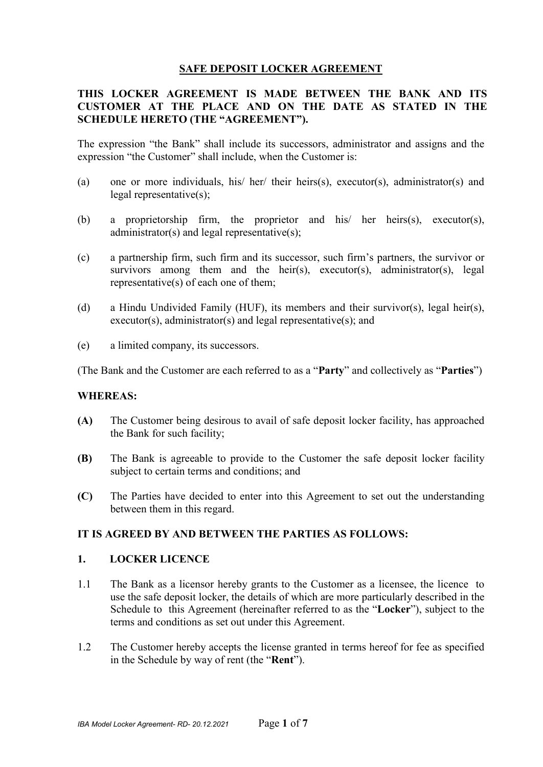# **SAFE DEPOSIT LOCKER AGREEMENT**

# **THIS LOCKER AGREEMENT IS MADE BETWEEN THE BANK AND ITS CUSTOMER AT THE PLACE AND ON THE DATE AS STATED IN THE SCHEDULE HERETO (THE "AGREEMENT").**

The expression "the Bank" shall include its successors, administrator and assigns and the expression "the Customer" shall include, when the Customer is:

- (a) one or more individuals, his/ her/ their heirs(s), executor(s), administrator(s) and legal representative(s);
- (b) a proprietorship firm, the proprietor and his/ her heirs(s), executor(s), administrator(s) and legal representative(s);
- (c) a partnership firm, such firm and its successor, such firm's partners, the survivor or survivors among them and the heir(s), executor(s), administrator(s), legal representative(s) of each one of them;
- (d) a Hindu Undivided Family (HUF), its members and their survivor(s), legal heir(s), executor(s), administrator(s) and legal representative(s); and
- (e) a limited company, its successors.

(The Bank and the Customer are each referred to as a "**Party**" and collectively as "**Parties**")

#### **WHEREAS:**

- **(A)** The Customer being desirous to avail of safe deposit locker facility, has approached the Bank for such facility;
- **(B)** The Bank is agreeable to provide to the Customer the safe deposit locker facility subject to certain terms and conditions; and
- **(C)** The Parties have decided to enter into this Agreement to set out the understanding between them in this regard.

### **IT IS AGREED BY AND BETWEEN THE PARTIES AS FOLLOWS:**

#### **1. LOCKER LICENCE**

- 1.1 The Bank as a licensor hereby grants to the Customer as a licensee, the licence to use the safe deposit locker, the details of which are more particularly described in the Schedule to this Agreement (hereinafter referred to as the "**Locker**"), subject to the terms and conditions as set out under this Agreement.
- 1.2 The Customer hereby accepts the license granted in terms hereof for fee as specified in the Schedule by way of rent (the "**Rent**").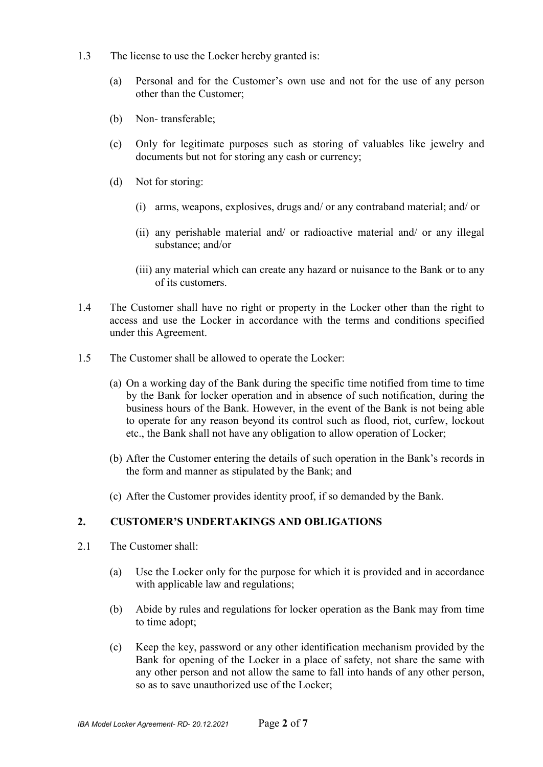- 1.3 The license to use the Locker hereby granted is:
	- (a) Personal and for the Customer's own use and not for the use of any person other than the Customer;
	- (b) Non- transferable;
	- (c) Only for legitimate purposes such as storing of valuables like jewelry and documents but not for storing any cash or currency;
	- (d) Not for storing:
		- (i) arms, weapons, explosives, drugs and/ or any contraband material; and/ or
		- (ii) any perishable material and/ or radioactive material and/ or any illegal substance; and/or
		- (iii) any material which can create any hazard or nuisance to the Bank or to any of its customers.
- 1.4 The Customer shall have no right or property in the Locker other than the right to access and use the Locker in accordance with the terms and conditions specified under this Agreement.
- 1.5 The Customer shall be allowed to operate the Locker:
	- (a) On a working day of the Bank during the specific time notified from time to time by the Bank for locker operation and in absence of such notification, during the business hours of the Bank. However, in the event of the Bank is not being able to operate for any reason beyond its control such as flood, riot, curfew, lockout etc., the Bank shall not have any obligation to allow operation of Locker;
	- (b) After the Customer entering the details of such operation in the Bank's records in the form and manner as stipulated by the Bank; and
	- (c) After the Customer provides identity proof, if so demanded by the Bank.

### **2. CUSTOMER'S UNDERTAKINGS AND OBLIGATIONS**

- 2.1 The Customer shall:
	- (a) Use the Locker only for the purpose for which it is provided and in accordance with applicable law and regulations;
	- (b) Abide by rules and regulations for locker operation as the Bank may from time to time adopt;
	- (c) Keep the key, password or any other identification mechanism provided by the Bank for opening of the Locker in a place of safety, not share the same with any other person and not allow the same to fall into hands of any other person, so as to save unauthorized use of the Locker;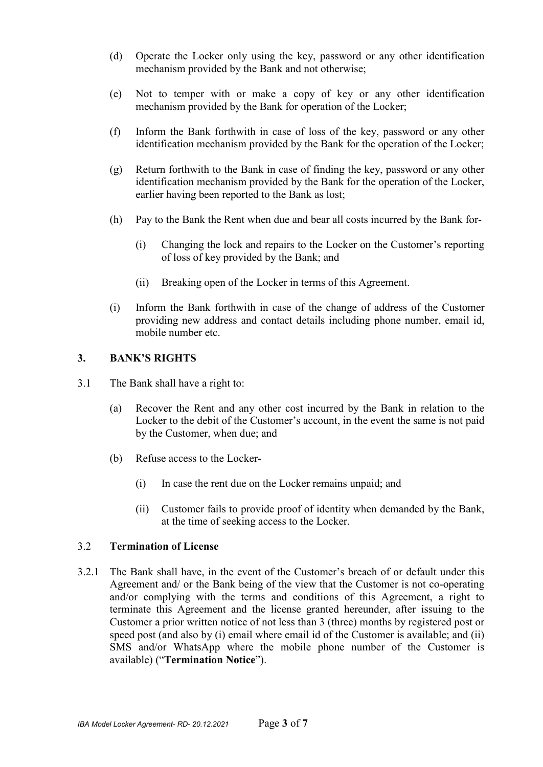- (d) Operate the Locker only using the key, password or any other identification mechanism provided by the Bank and not otherwise;
- (e) Not to temper with or make a copy of key or any other identification mechanism provided by the Bank for operation of the Locker;
- (f) Inform the Bank forthwith in case of loss of the key, password or any other identification mechanism provided by the Bank for the operation of the Locker;
- (g) Return forthwith to the Bank in case of finding the key, password or any other identification mechanism provided by the Bank for the operation of the Locker, earlier having been reported to the Bank as lost;
- (h) Pay to the Bank the Rent when due and bear all costs incurred by the Bank for-
	- (i) Changing the lock and repairs to the Locker on the Customer's reporting of loss of key provided by the Bank; and
	- (ii) Breaking open of the Locker in terms of this Agreement.
- (i) Inform the Bank forthwith in case of the change of address of the Customer providing new address and contact details including phone number, email id, mobile number etc.

# **3. BANK'S RIGHTS**

- 3.1 The Bank shall have a right to:
	- (a) Recover the Rent and any other cost incurred by the Bank in relation to the Locker to the debit of the Customer's account, in the event the same is not paid by the Customer, when due; and
	- (b) Refuse access to the Locker-
		- (i) In case the rent due on the Locker remains unpaid; and
		- (ii) Customer fails to provide proof of identity when demanded by the Bank, at the time of seeking access to the Locker.

### 3.2 **Termination of License**

3.2.1 The Bank shall have, in the event of the Customer's breach of or default under this Agreement and/ or the Bank being of the view that the Customer is not co-operating and/or complying with the terms and conditions of this Agreement, a right to terminate this Agreement and the license granted hereunder, after issuing to the Customer a prior written notice of not less than 3 (three) months by registered post or speed post (and also by (i) email where email id of the Customer is available; and (ii) SMS and/or WhatsApp where the mobile phone number of the Customer is available) ("**Termination Notice**").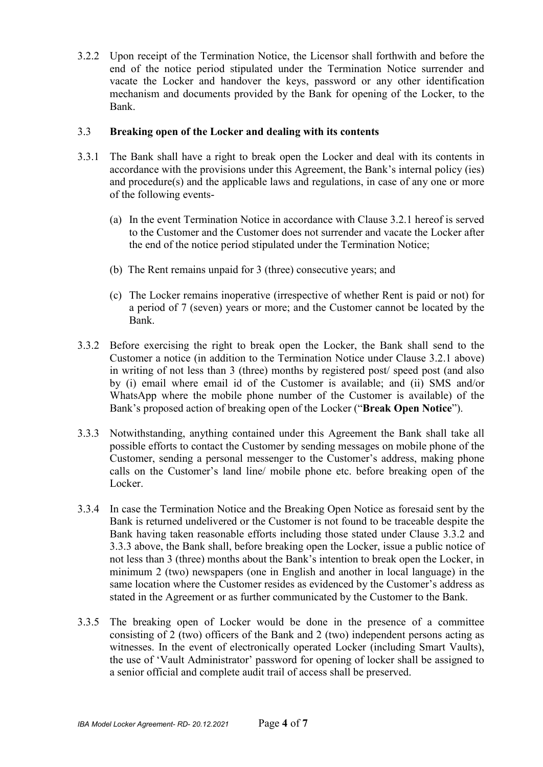3.2.2 Upon receipt of the Termination Notice, the Licensor shall forthwith and before the end of the notice period stipulated under the Termination Notice surrender and vacate the Locker and handover the keys, password or any other identification mechanism and documents provided by the Bank for opening of the Locker, to the Bank.

### 3.3 **Breaking open of the Locker and dealing with its contents**

- 3.3.1 The Bank shall have a right to break open the Locker and deal with its contents in accordance with the provisions under this Agreement, the Bank's internal policy (ies) and procedure(s) and the applicable laws and regulations, in case of any one or more of the following events-
	- (a) In the event Termination Notice in accordance with Clause 3.2.1 hereof is served to the Customer and the Customer does not surrender and vacate the Locker after the end of the notice period stipulated under the Termination Notice;
	- (b) The Rent remains unpaid for 3 (three) consecutive years; and
	- (c) The Locker remains inoperative (irrespective of whether Rent is paid or not) for a period of 7 (seven) years or more; and the Customer cannot be located by the Bank.
- 3.3.2 Before exercising the right to break open the Locker, the Bank shall send to the Customer a notice (in addition to the Termination Notice under Clause 3.2.1 above) in writing of not less than 3 (three) months by registered post/ speed post (and also by (i) email where email id of the Customer is available; and (ii) SMS and/or WhatsApp where the mobile phone number of the Customer is available) of the Bank's proposed action of breaking open of the Locker ("**Break Open Notice**").
- 3.3.3 Notwithstanding, anything contained under this Agreement the Bank shall take all possible efforts to contact the Customer by sending messages on mobile phone of the Customer, sending a personal messenger to the Customer's address, making phone calls on the Customer's land line/ mobile phone etc. before breaking open of the Locker.
- 3.3.4 In case the Termination Notice and the Breaking Open Notice as foresaid sent by the Bank is returned undelivered or the Customer is not found to be traceable despite the Bank having taken reasonable efforts including those stated under Clause 3.3.2 and 3.3.3 above, the Bank shall, before breaking open the Locker, issue a public notice of not less than 3 (three) months about the Bank's intention to break open the Locker, in minimum 2 (two) newspapers (one in English and another in local language) in the same location where the Customer resides as evidenced by the Customer's address as stated in the Agreement or as further communicated by the Customer to the Bank.
- 3.3.5 The breaking open of Locker would be done in the presence of a committee consisting of 2 (two) officers of the Bank and 2 (two) independent persons acting as witnesses. In the event of electronically operated Locker (including Smart Vaults), the use of 'Vault Administrator' password for opening of locker shall be assigned to a senior official and complete audit trail of access shall be preserved.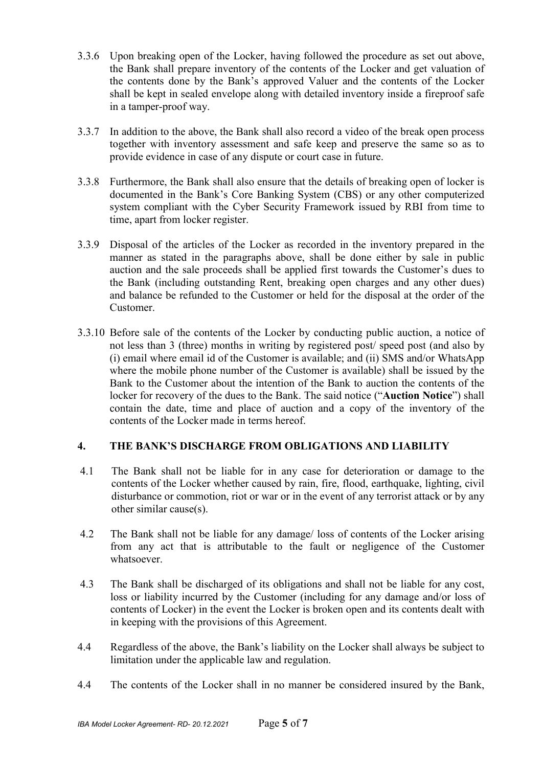- 3.3.6 Upon breaking open of the Locker, having followed the procedure as set out above, the Bank shall prepare inventory of the contents of the Locker and get valuation of the contents done by the Bank's approved Valuer and the contents of the Locker shall be kept in sealed envelope along with detailed inventory inside a fireproof safe in a tamper-proof way.
- 3.3.7 In addition to the above, the Bank shall also record a video of the break open process together with inventory assessment and safe keep and preserve the same so as to provide evidence in case of any dispute or court case in future.
- 3.3.8 Furthermore, the Bank shall also ensure that the details of breaking open of locker is documented in the Bank's Core Banking System (CBS) or any other computerized system compliant with the Cyber Security Framework issued by RBI from time to time, apart from locker register.
- 3.3.9 Disposal of the articles of the Locker as recorded in the inventory prepared in the manner as stated in the paragraphs above, shall be done either by sale in public auction and the sale proceeds shall be applied first towards the Customer's dues to the Bank (including outstanding Rent, breaking open charges and any other dues) and balance be refunded to the Customer or held for the disposal at the order of the Customer.
- 3.3.10 Before sale of the contents of the Locker by conducting public auction, a notice of not less than 3 (three) months in writing by registered post/ speed post (and also by (i) email where email id of the Customer is available; and (ii) SMS and/or WhatsApp where the mobile phone number of the Customer is available) shall be issued by the Bank to the Customer about the intention of the Bank to auction the contents of the locker for recovery of the dues to the Bank. The said notice ("**Auction Notice**") shall contain the date, time and place of auction and a copy of the inventory of the contents of the Locker made in terms hereof.

### **4. THE BANK'S DISCHARGE FROM OBLIGATIONS AND LIABILITY**

- 4.1 The Bank shall not be liable for in any case for deterioration or damage to the contents of the Locker whether caused by rain, fire, flood, earthquake, lighting, civil disturbance or commotion, riot or war or in the event of any terrorist attack or by any other similar cause(s).
- 4.2 The Bank shall not be liable for any damage/ loss of contents of the Locker arising from any act that is attributable to the fault or negligence of the Customer whatsoever.
- 4.3 The Bank shall be discharged of its obligations and shall not be liable for any cost, loss or liability incurred by the Customer (including for any damage and/or loss of contents of Locker) in the event the Locker is broken open and its contents dealt with in keeping with the provisions of this Agreement.
- 4.4 Regardless of the above, the Bank's liability on the Locker shall always be subject to limitation under the applicable law and regulation.
- 4.4 The contents of the Locker shall in no manner be considered insured by the Bank,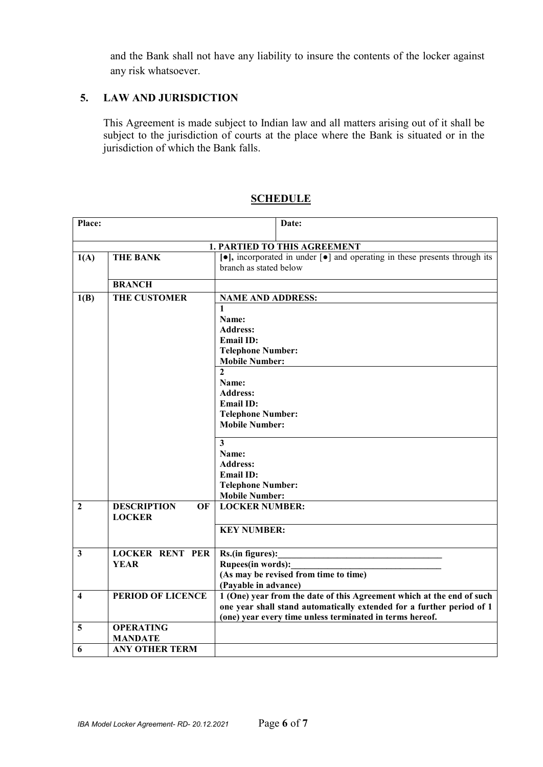and the Bank shall not have any liability to insure the contents of the locker against any risk whatsoever.

# **5. LAW AND JURISDICTION**

This Agreement is made subject to Indian law and all matters arising out of it shall be subject to the jurisdiction of courts at the place where the Bank is situated or in the jurisdiction of which the Bank falls.

| Place:           | Date:                                     |                                                                                                                                                                                                            |  |  |  |  |  |
|------------------|-------------------------------------------|------------------------------------------------------------------------------------------------------------------------------------------------------------------------------------------------------------|--|--|--|--|--|
|                  | <b>1. PARTIED TO THIS AGREEMENT</b>       |                                                                                                                                                                                                            |  |  |  |  |  |
| 1(A)             | <b>THE BANK</b>                           | $\lceil \bullet \rceil$ , incorporated in under $\lceil \bullet \rceil$ and operating in these presents through its<br>branch as stated below                                                              |  |  |  |  |  |
|                  | <b>BRANCH</b>                             |                                                                                                                                                                                                            |  |  |  |  |  |
| 1(B)             | <b>THE CUSTOMER</b>                       | <b>NAME AND ADDRESS:</b>                                                                                                                                                                                   |  |  |  |  |  |
|                  |                                           | $\mathbf{1}$<br>Name:<br><b>Address:</b><br><b>Email ID:</b><br><b>Telephone Number:</b><br><b>Mobile Number:</b>                                                                                          |  |  |  |  |  |
|                  |                                           | $\overline{2}$<br>Name:<br><b>Address:</b><br><b>Email ID:</b><br><b>Telephone Number:</b><br><b>Mobile Number:</b>                                                                                        |  |  |  |  |  |
|                  |                                           | $\overline{\mathbf{3}}$<br>Name:<br><b>Address:</b><br><b>Email ID:</b><br><b>Telephone Number:</b><br><b>Mobile Number:</b>                                                                               |  |  |  |  |  |
| $\mathbf{2}$     | <b>DESCRIPTION</b><br>OF<br><b>LOCKER</b> | <b>LOCKER NUMBER:</b><br><b>KEY NUMBER:</b>                                                                                                                                                                |  |  |  |  |  |
|                  |                                           |                                                                                                                                                                                                            |  |  |  |  |  |
| $\mathbf{3}$     | <b>LOCKER RENT PER</b><br><b>YEAR</b>     | Rs.(in figures):<br><b>Rupees(in words):</b><br>(As may be revised from time to time)<br>(Payable in advance)                                                                                              |  |  |  |  |  |
| $\boldsymbol{4}$ | <b>PERIOD OF LICENCE</b>                  | 1 (One) year from the date of this Agreement which at the end of such<br>one year shall stand automatically extended for a further period of 1<br>(one) year every time unless terminated in terms hereof. |  |  |  |  |  |
| 5                | <b>OPERATING</b><br><b>MANDATE</b>        |                                                                                                                                                                                                            |  |  |  |  |  |
| 6                | <b>ANY OTHER TERM</b>                     |                                                                                                                                                                                                            |  |  |  |  |  |

### **SCHEDULE**